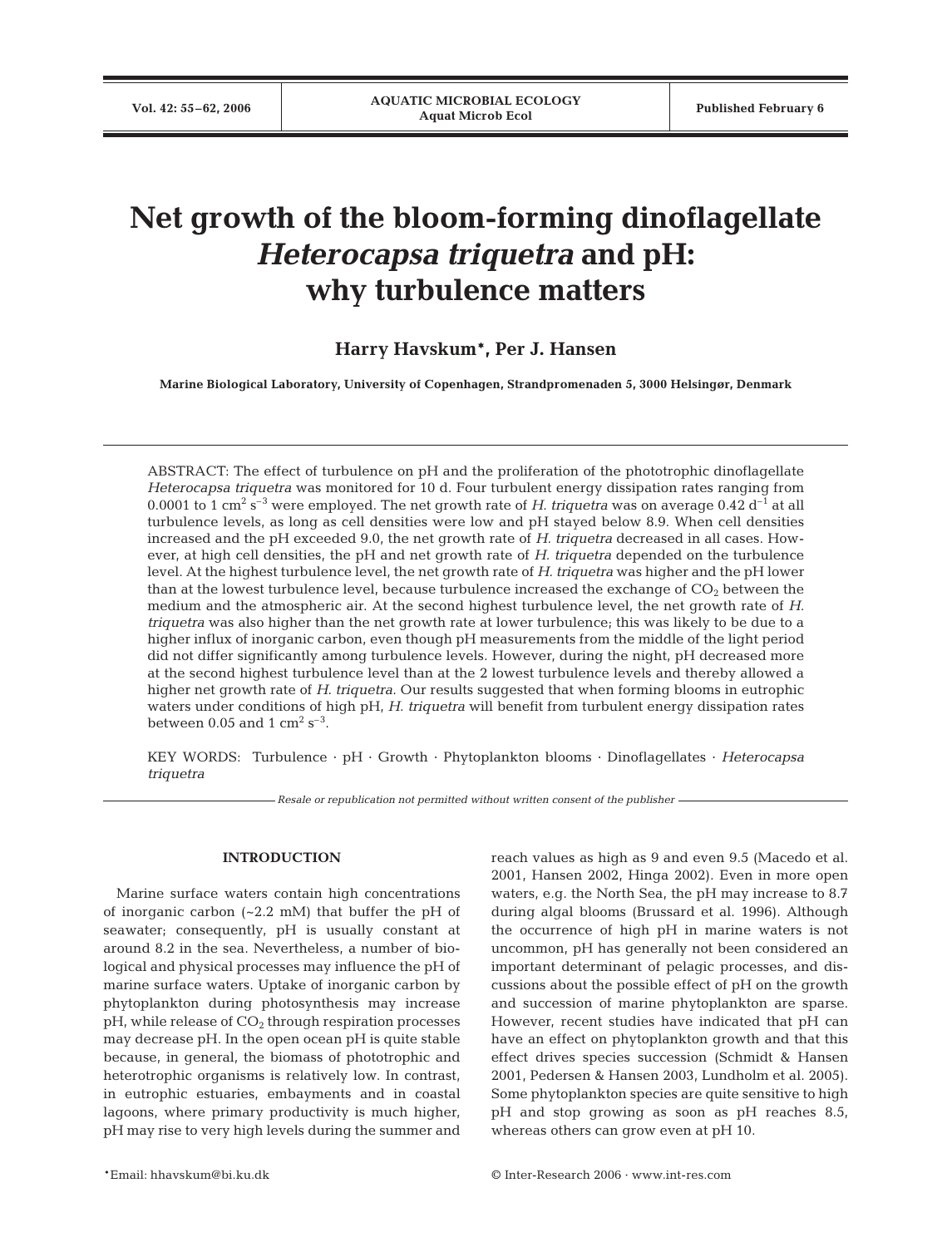# **Net growth of the bloom-forming dinoflagellate** *Heterocapsa triquetra* **and pH: why turbulence matters**

## **Harry Havskum\*, Per J. Hansen**

**Marine Biological Laboratory, University of Copenhagen, Strandpromenaden 5, 3000 Helsingør, Denmark**

ABSTRACT: The effect of turbulence on pH and the proliferation of the phototrophic dinoflagellate *Heterocapsa triquetra* was monitored for 10 d. Four turbulent energy dissipation rates ranging from 0.0001 to 1 cm<sup>2</sup> s<sup>-3</sup> were employed. The net growth rate of *H. triquetra* was on average 0.42 d<sup>-1</sup> at all turbulence levels, as long as cell densities were low and pH stayed below 8.9. When cell densities increased and the pH exceeded 9.0, the net growth rate of *H. triquetra* decreased in all cases. However, at high cell densities, the pH and net growth rate of *H. triquetra* depended on the turbulence level. At the highest turbulence level, the net growth rate of *H. triquetra* was higher and the pH lower than at the lowest turbulence level, because turbulence increased the exchange of  $CO<sub>2</sub>$  between the medium and the atmospheric air. At the second highest turbulence level, the net growth rate of *H. triquetra* was also higher than the net growth rate at lower turbulence; this was likely to be due to a higher influx of inorganic carbon, even though pH measurements from the middle of the light period did not differ significantly among turbulence levels. However, during the night, pH decreased more at the second highest turbulence level than at the 2 lowest turbulence levels and thereby allowed a higher net growth rate of *H. triquetra*. Our results suggested that when forming blooms in eutrophic waters under conditions of high pH, *H. triquetra* will benefit from turbulent energy dissipation rates between 0.05 and 1  $\text{cm}^2 \text{ s}^{-3}$ .

KEY WORDS: Turbulence · pH · Growth · Phytoplankton blooms · Dinoflagellates · *Heterocapsa triquetra*

*Resale or republication not permitted without written consent of the publisher*

## **INTRODUCTION**

Marine surface waters contain high concentrations of inorganic carbon (~2.2 mM) that buffer the pH of seawater; consequently, pH is usually constant at around 8.2 in the sea. Nevertheless, a number of biological and physical processes may influence the pH of marine surface waters. Uptake of inorganic carbon by phytoplankton during photosynthesis may increase  $pH$ , while release of  $CO<sub>2</sub>$  through respiration processes may decrease pH. In the open ocean pH is quite stable because, in general, the biomass of phototrophic and heterotrophic organisms is relatively low. In contrast, in eutrophic estuaries, embayments and in coastal lagoons, where primary productivity is much higher, pH may rise to very high levels during the summer and

reach values as high as 9 and even 9.5 (Macedo et al. 2001, Hansen 2002, Hinga 2002). Even in more open waters, e.g. the North Sea, the pH may increase to 8.7 during algal blooms (Brussard et al. 1996). Although the occurrence of high pH in marine waters is not uncommon, pH has generally not been considered an important determinant of pelagic processes, and discussions about the possible effect of pH on the growth and succession of marine phytoplankton are sparse. However, recent studies have indicated that pH can have an effect on phytoplankton growth and that this effect drives species succession (Schmidt & Hansen 2001, Pedersen & Hansen 2003, Lundholm et al. 2005). Some phytoplankton species are quite sensitive to high pH and stop growing as soon as pH reaches 8.5, whereas others can grow even at pH 10.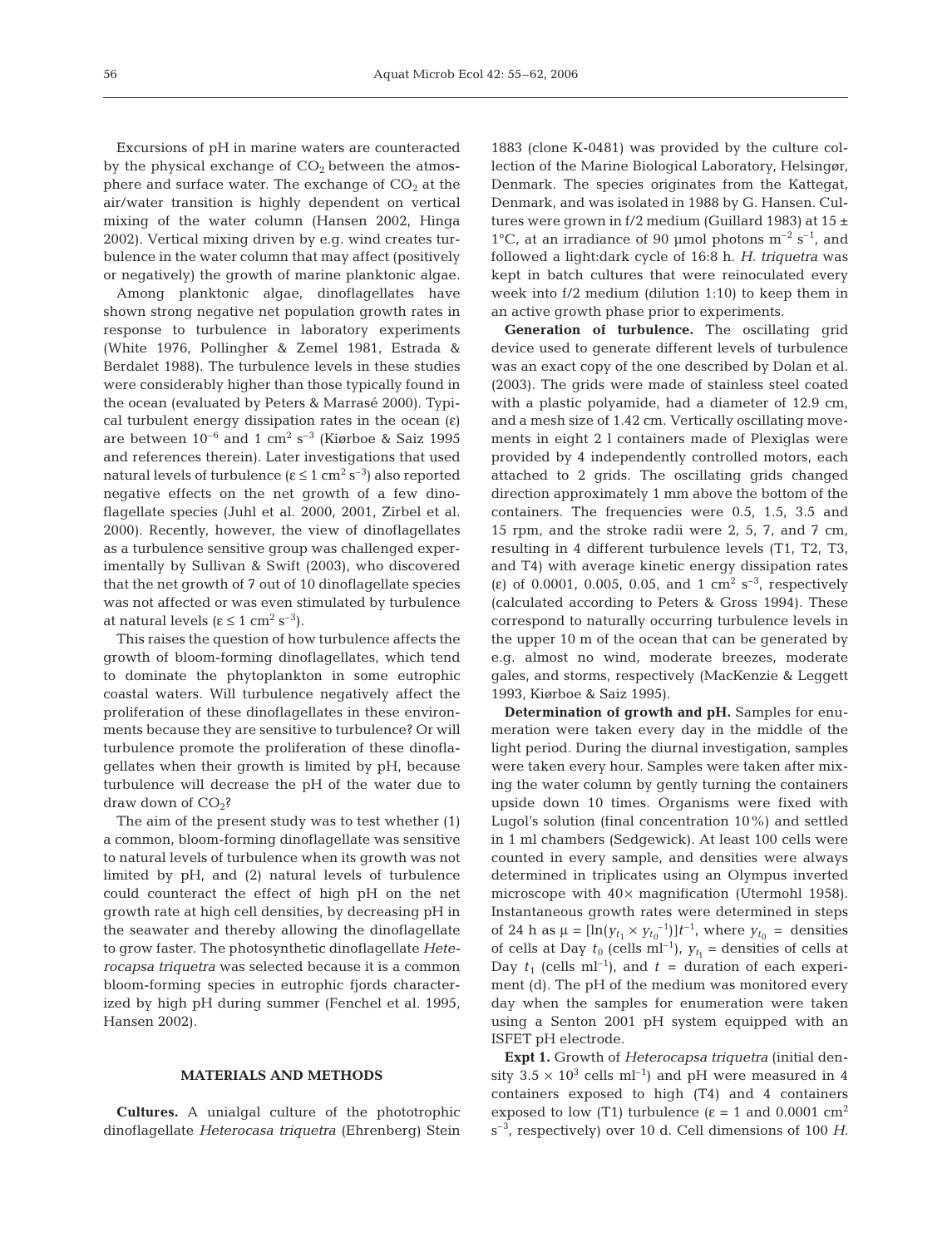Excursions of pH in marine waters are counteracted by the physical exchange of  $CO<sub>2</sub>$  between the atmosphere and surface water. The exchange of  $CO<sub>2</sub>$  at the air/water transition is highly dependent on vertical mixing of the water column (Hansen 2002, Hinga 2002). Vertical mixing driven by e.g. wind creates turbulence in the water column that may affect (positively or negatively) the growth of marine planktonic algae.

Among planktonic algae, dinoflagellates have shown strong negative net population growth rates in response to turbulence in laboratory experiments (White 1976, Pollingher & Zemel 1981, Estrada & Berdalet 1988). The turbulence levels in these studies were considerably higher than those typically found in the ocean (evaluated by Peters & Marrasé 2000). Typical turbulent energy dissipation rates in the ocean  $(\varepsilon)$ are between  $10^{-6}$  and 1 cm<sup>2</sup> s<sup>-3</sup> (Kiørboe & Saiz 1995 and references therein). Later investigations that used natural levels of turbulence ( $ε ≤ 1$  cm<sup>2</sup> s<sup>-3</sup>) also reported negative effects on the net growth of a few dinoflagellate species (Juhl et al. 2000, 2001, Zirbel et al. 2000). Recently, however, the view of dinoflagellates as a turbulence sensitive group was challenged experimentally by Sullivan & Swift (2003), who discovered that the net growth of 7 out of 10 dinoflagellate species was not affected or was even stimulated by turbulence at natural levels (ε ≤ 1 cm<sup>2</sup> s<sup>-3</sup>).

This raises the question of how turbulence affects the growth of bloom-forming dinoflagellates, which tend to dominate the phytoplankton in some eutrophic coastal waters. Will turbulence negatively affect the proliferation of these dinoflagellates in these environments because they are sensitive to turbulence? Or will turbulence promote the proliferation of these dinoflagellates when their growth is limited by pH, because turbulence will decrease the pH of the water due to draw down of  $CO<sub>2</sub>$ ?

The aim of the present study was to test whether (1) a common, bloom-forming dinoflagellate was sensitive to natural levels of turbulence when its growth was not limited by pH, and (2) natural levels of turbulence could counteract the effect of high pH on the net growth rate at high cell densities, by decreasing pH in the seawater and thereby allowing the dinoflagellate to grow faster. The photosynthetic dinoflagellate *Heterocapsa triquetra* was selected because it is a common bloom-forming species in eutrophic fjords characterized by high pH during summer (Fenchel et al. 1995, Hansen 2002).

#### **MATERIALS AND METHODS**

**Cultures.** A unialgal culture of the phototrophic dinoflagellate *Heterocasa triquetra* (Ehrenberg) Stein

1883 (clone K-0481) was provided by the culture collection of the Marine Biological Laboratory, Helsingør, Denmark. The species originates from the Kattegat, Denmark, and was isolated in 1988 by G. Hansen. Cultures were grown in f/2 medium (Guillard 1983) at  $15 \pm$ 1°C, at an irradiance of 90 µmol photons  $m^{-2}$  s<sup>-1</sup>, and followed a light:dark cycle of 16:8 h. *H. triquetra* was kept in batch cultures that were reinoculated every week into f/2 medium (dilution 1:10) to keep them in an active growth phase prior to experiments.

**Generation of turbulence.** The oscillating grid device used to generate different levels of turbulence was an exact copy of the one described by Dolan et al. (2003). The grids were made of stainless steel coated with a plastic polyamide, had a diameter of 12.9 cm, and a mesh size of 1.42 cm. Vertically oscillating movements in eight 2 l containers made of Plexiglas were provided by 4 independently controlled motors, each attached to 2 grids. The oscillating grids changed direction approximately 1 mm above the bottom of the containers. The frequencies were 0.5, 1.5, 3.5 and 15 rpm, and the stroke radii were 2, 5, 7, and 7 cm, resulting in 4 different turbulence levels (T1, T2, T3, and T4) with average kinetic energy dissipation rates (ε) of 0.0001, 0.005, 0.05, and 1 cm<sup>2</sup> s<sup>-3</sup>, respectively (calculated according to Peters & Gross 1994). These correspond to naturally occurring turbulence levels in the upper 10 m of the ocean that can be generated by e.g. almost no wind, moderate breezes, moderate gales, and storms, respectively (MacKenzie & Leggett 1993, Kiørboe & Saiz 1995).

**Determination of growth and pH.** Samples for enumeration were taken every day in the middle of the light period. During the diurnal investigation, samples were taken every hour. Samples were taken after mixing the water column by gently turning the containers upside down 10 times. Organisms were fixed with Lugol's solution (final concentration 10%) and settled in 1 ml chambers (Sedgewick). At least 100 cells were counted in every sample, and densities were always determined in triplicates using an Olympus inverted microscope with  $40\times$  magnification (Utermohl 1958). Instantaneous growth rates were determined in steps of 24 h as  $\mu = [\ln(y_{t_1} \times y_{t_0}^{-1})]t^{-1}$ , where  $y_{t_0} =$  densities of cells at Day  $t_0$  (cells ml<sup>-1</sup>),  $y_{t_1}$  = densities of cells at Day  $t_1$  (cells ml<sup>-1</sup>), and  $t =$  duration of each experiment (d). The pH of the medium was monitored every day when the samples for enumeration were taken using a Senton 2001 pH system equipped with an ISFET pH electrode.

**Expt 1.** Growth of *Heterocapsa triquetra* (initial density  $3.5 \times 10^3$  cells ml<sup>-1</sup>) and pH were measured in 4 containers exposed to high (T4) and 4 containers exposed to low (T1) turbulence ( $\varepsilon = 1$  and 0.0001 cm<sup>2</sup> s–3, respectively) over 10 d. Cell dimensions of 100 *H.*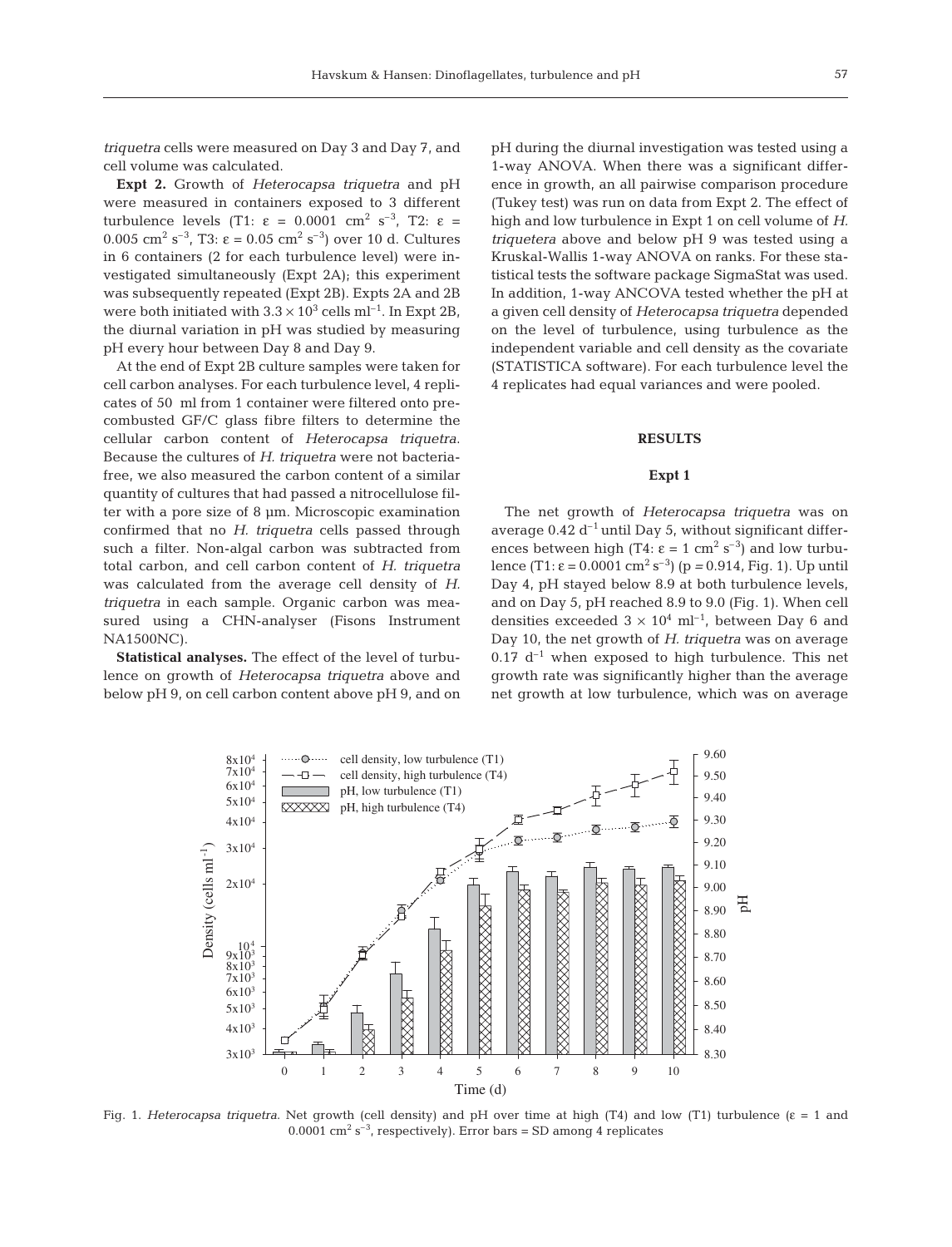*triquetra* cells were measured on Day 3 and Day 7, and cell volume was calculated.

**Expt 2.** Growth of *Heterocapsa triquetra* and pH were measured in containers exposed to 3 different turbulence levels (T1: ε = 0.0001 cm<sup>2</sup> s<sup>-3</sup>, T2: ε = 0.005 cm<sup>2</sup> s<sup>-3</sup>, T3:  $\varepsilon = 0.05$  cm<sup>2</sup> s<sup>-3</sup>) over 10 d. Cultures in 6 containers (2 for each turbulence level) were investigated simultaneously (Expt 2A); this experiment was subsequently repeated (Expt 2B). Expts 2A and 2B were both initiated with  $3.3 \times 10^3$  cells ml<sup>-1</sup>. In Expt 2B, the diurnal variation in pH was studied by measuring pH every hour between Day 8 and Day 9.

At the end of Expt 2B culture samples were taken for cell carbon analyses. For each turbulence level, 4 replicates of 50 ml from 1 container were filtered onto precombusted GF/C glass fibre filters to determine the cellular carbon content of *Heterocapsa triquetra*. Because the cultures of *H. triquetra* were not bacteriafree, we also measured the carbon content of a similar quantity of cultures that had passed a nitrocellulose filter with a pore size of 8 µm. Microscopic examination confirmed that no *H. triquetra* cells passed through such a filter. Non-algal carbon was subtracted from total carbon, and cell carbon content of *H. triquetra* was calculated from the average cell density of *H. triquetra* in each sample. Organic carbon was measured using a CHN-analyser (Fisons Instrument NA1500NC).

**Statistical analyses.** The effect of the level of turbulence on growth of *Heterocapsa triquetra* above and below pH 9, on cell carbon content above pH 9, and on pH during the diurnal investigation was tested using a 1-way ANOVA. When there was a significant difference in growth, an all pairwise comparison procedure (Tukey test) was run on data from Expt 2. The effect of high and low turbulence in Expt 1 on cell volume of *H. triquetera* above and below pH 9 was tested using a Kruskal-Wallis 1-way ANOVA on ranks. For these statistical tests the software package SigmaStat was used. In addition, 1-way ANCOVA tested whether the pH at a given cell density of *Heterocapsa triquetra* depended on the level of turbulence, using turbulence as the independent variable and cell density as the covariate (STATISTICA software). For each turbulence level the 4 replicates had equal variances and were pooled.

#### **RESULTS**

#### **Expt 1**

The net growth of *Heterocapsa triquetra* was on average  $0.42 d^{-1}$  until Day 5, without significant differences between high (T4:  $\epsilon = 1$  cm<sup>2</sup> s<sup>-3</sup>) and low turbulence (T1:  $\varepsilon$  = 0.0001 cm<sup>2</sup> s<sup>-3</sup>) (p = 0.914, Fig. 1). Up until Day 4, pH stayed below 8.9 at both turbulence levels, and on Day 5, pH reached 8.9 to 9.0 (Fig. 1). When cell densities exceeded  $3 \times 10^4$  ml<sup>-1</sup>, between Day 6 and Day 10, the net growth of *H. triquetra* was on average  $0.17$  d<sup>-1</sup> when exposed to high turbulence. This net growth rate was significantly higher than the average net growth at low turbulence, which was on average



Fig. 1. *Heterocapsa triquetra*. Net growth (cell density) and pH over time at high (T4) and low (T1) turbulence (ε = 1 and 0.0001  $\text{cm}^2 \text{ s}^{-3}$ , respectively). Error bars = SD among 4 replicates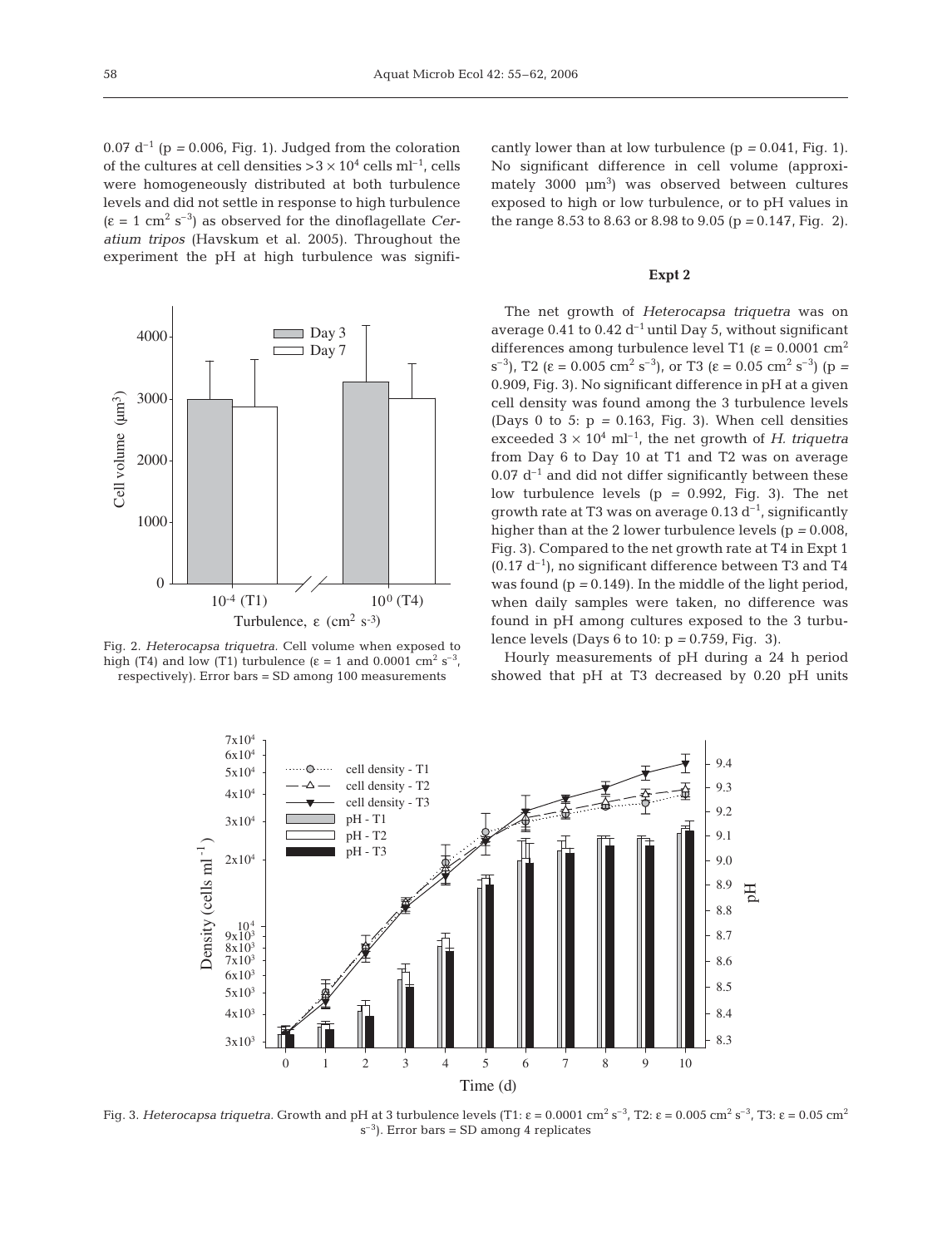$0.07 d^{-1}$  (p = 0.006, Fig. 1). Judged from the coloration of the cultures at cell densities  $>3 \times 10^4$  cells ml<sup>-1</sup>, cells were homogeneously distributed at both turbulence levels and did not settle in response to high turbulence  $(\epsilon = 1 \text{ cm}^2 \text{ s}^{-3})$  as observed for the dinoflagellate *Ceratium tripos* (Havskum et al. 2005). Throughout the experiment the pH at high turbulence was signifi-



Fig. 2. *Heterocapsa triquetra.* Cell volume when exposed to high (T4) and low (T1) turbulence ( $\varepsilon = 1$  and 0.0001 cm<sup>2</sup> s<sup>-3</sup>, respectively). Error bars = SD among 100 measurements

cantly lower than at low turbulence  $(p = 0.041, Fig. 1)$ . No significant difference in cell volume (approxi $m$ ately 3000  $\mu$ m<sup>3</sup>) was observed between cultures exposed to high or low turbulence, or to pH values in the range 8.53 to 8.63 or 8.98 to 9.05 (p *=* 0.147, Fig. 2).

#### **Expt 2**

The net growth of *Heterocapsa triquetra* was on average 0.41 to 0.42  $d^{-1}$  until Day 5, without significant differences among turbulence level T1 ( $\varepsilon$  = 0.0001 cm<sup>2</sup> s<sup>-3</sup>), T2 (ε = 0.005 cm<sup>2</sup> s<sup>-3</sup>), or T3 (ε = 0.05 cm<sup>2</sup> s<sup>-3</sup>) (p = 0.909, Fig. 3). No significant difference in pH at a given cell density was found among the 3 turbulence levels (Days 0 to 5:  $p = 0.163$ , Fig. 3). When cell densities exceeded  $3 \times 10^4$  ml<sup>-1</sup>, the net growth of *H. triquetra* from Day 6 to Day 10 at T1 and T2 was on average  $0.07$  d<sup>-1</sup> and did not differ significantly between these low turbulence levels (p *=* 0.992, Fig. 3). The net growth rate at T3 was on average  $0.13 d^{-1}$ , significantly higher than at the 2 lower turbulence levels (p *=* 0.008, Fig. 3). Compared to the net growth rate at T4 in Expt 1  $(0.17 d^{-1})$ , no significant difference between T3 and T4 was found (p *=* 0.149). In the middle of the light period, when daily samples were taken, no difference was found in pH among cultures exposed to the 3 turbulence levels (Days 6 to 10: p *=* 0.759, Fig. 3).

Hourly measurements of pH during a 24 h period showed that pH at T3 decreased by 0.20 pH units



Fig. 3. *Heterocapsa triquetra*. Growth and pH at 3 turbulence levels (T1: ε = 0.0001 cm<sup>2</sup> s<sup>-3</sup>, T2: ε = 0.005 cm<sup>2</sup> s<sup>-3</sup>, T3: ε = 0.05 cm<sup>2</sup>  $s^{-3}$ ). Error bars = SD among 4 replicates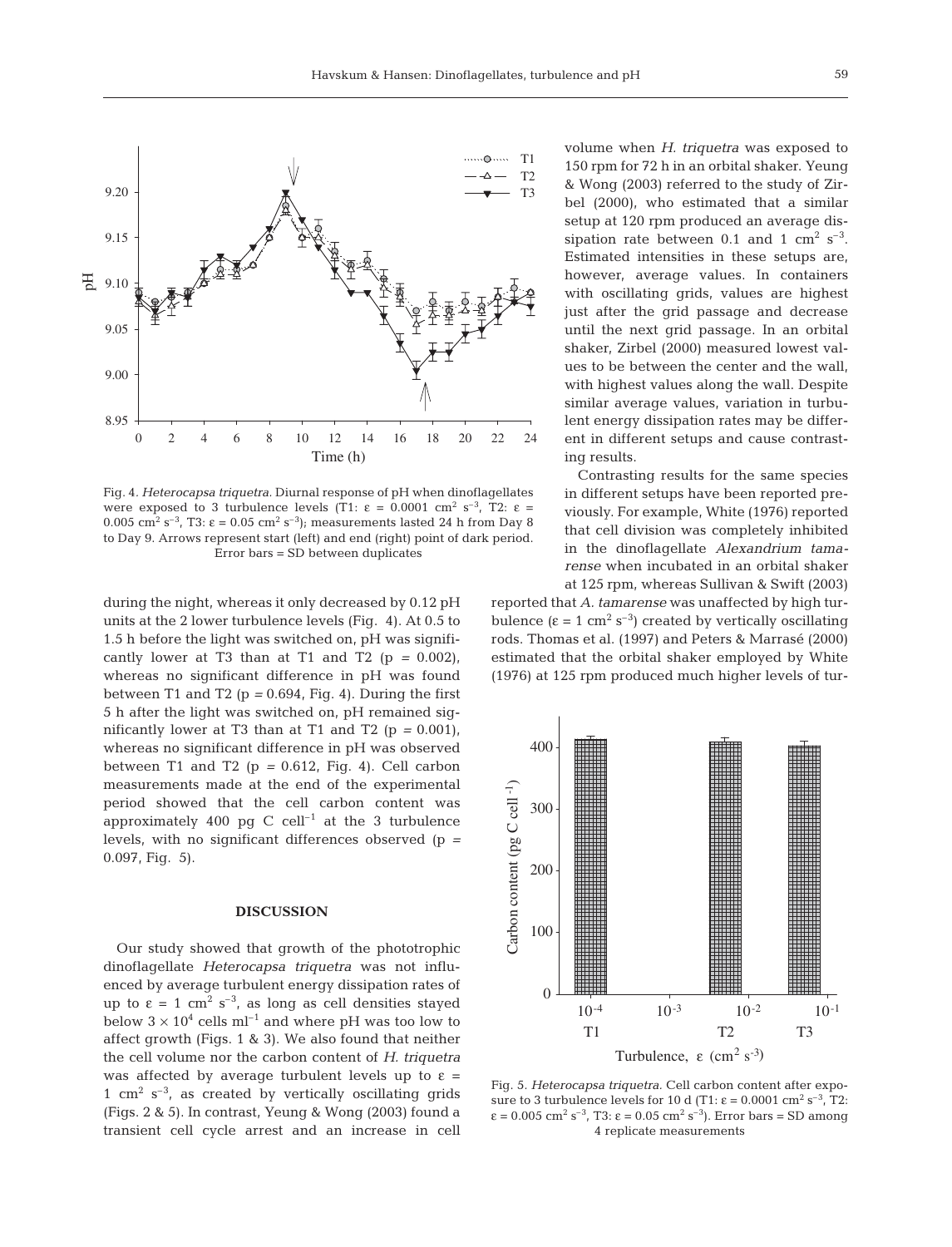

Fig. 4*. Heterocapsa triquetra.* Diurnal response of pH when dinoflagellates were exposed to 3 turbulence levels (T1:  $\varepsilon = 0.0001$  cm<sup>2</sup> s<sup>-3</sup>, T2:  $\varepsilon =$ 0.005 cm<sup>2</sup> s<sup>-3</sup>, T3:  $\varepsilon = 0.05$  cm<sup>2</sup> s<sup>-3</sup>); measurements lasted 24 h from Day 8 to Day 9. Arrows represent start (left) and end (right) point of dark period. Error bars = SD between duplicates

during the night, whereas it only decreased by 0.12 pH units at the 2 lower turbulence levels (Fig. 4). At 0.5 to 1.5 h before the light was switched on, pH was significantly lower at T3 than at T1 and T2  $(p = 0.002)$ , whereas no significant difference in pH was found between T1 and T2 (p *=* 0.694, Fig. 4). During the first 5 h after the light was switched on, pH remained significantly lower at T3 than at T1 and T2 ( $p = 0.001$ ), whereas no significant difference in pH was observed between T1 and T2 (p *=* 0.612, Fig. 4). Cell carbon measurements made at the end of the experimental period showed that the cell carbon content was approximately 400 pg C cell<sup>-1</sup> at the 3 turbulence levels, with no significant differences observed (p *=* 0.097, Fig. 5).

### **DISCUSSION**

Our study showed that growth of the phototrophic dinoflagellate *Heterocapsa triquetra* was not influenced by average turbulent energy dissipation rates of up to  $\varepsilon = 1$  cm<sup>2</sup> s<sup>-3</sup>, as long as cell densities stayed below  $3 \times 10^4$  cells ml<sup>-1</sup> and where pH was too low to affect growth (Figs. 1 & 3). We also found that neither the cell volume nor the carbon content of *H. triquetra* was affected by average turbulent levels up to  $\varepsilon =$ 1 cm<sup>2</sup> s<sup>-3</sup>, as created by vertically oscillating grids (Figs. 2 & 5). In contrast, Yeung & Wong (2003) found a transient cell cycle arrest and an increase in cell

volume when *H. triquetra* was exposed to 150 rpm for 72 h in an orbital shaker. Yeung & Wong (2003) referred to the study of Zirbel (2000), who estimated that a similar setup at 120 rpm produced an average dissipation rate between 0.1 and 1  $\text{cm}^2$  s<sup>-3</sup>. Estimated intensities in these setups are, however, average values. In containers with oscillating grids, values are highest just after the grid passage and decrease until the next grid passage. In an orbital shaker, Zirbel (2000) measured lowest values to be between the center and the wall, with highest values along the wall. Despite similar average values, variation in turbulent energy dissipation rates may be different in different setups and cause contrasting results.

Contrasting results for the same species in different setups have been reported previously. For example, White (1976) reported that cell division was completely inhibited in the dinoflagellate *Alexandrium tamarense* when incubated in an orbital shaker at 125 rpm, whereas Sullivan & Swift (2003)

reported that *A. tamarense* was unaffected by high turbulence  $(\epsilon = 1 \text{ cm}^2 \text{ s}^{-3})$  created by vertically oscillating rods. Thomas et al. (1997) and Peters & Marrasé (2000) estimated that the orbital shaker employed by White (1976) at 125 rpm produced much higher levels of tur-



Fig. 5*. Heterocapsa triquetra.* Cell carbon content after exposure to 3 turbulence levels for 10 d (T1:  $\varepsilon = 0.0001$  cm<sup>2</sup> s<sup>-3</sup>, T2:  $\varepsilon = 0.005$  cm<sup>2</sup> s<sup>-3</sup>, T3:  $\varepsilon = 0.05$  cm<sup>2</sup> s<sup>-3</sup>). Error bars = SD among 4 replicate measurements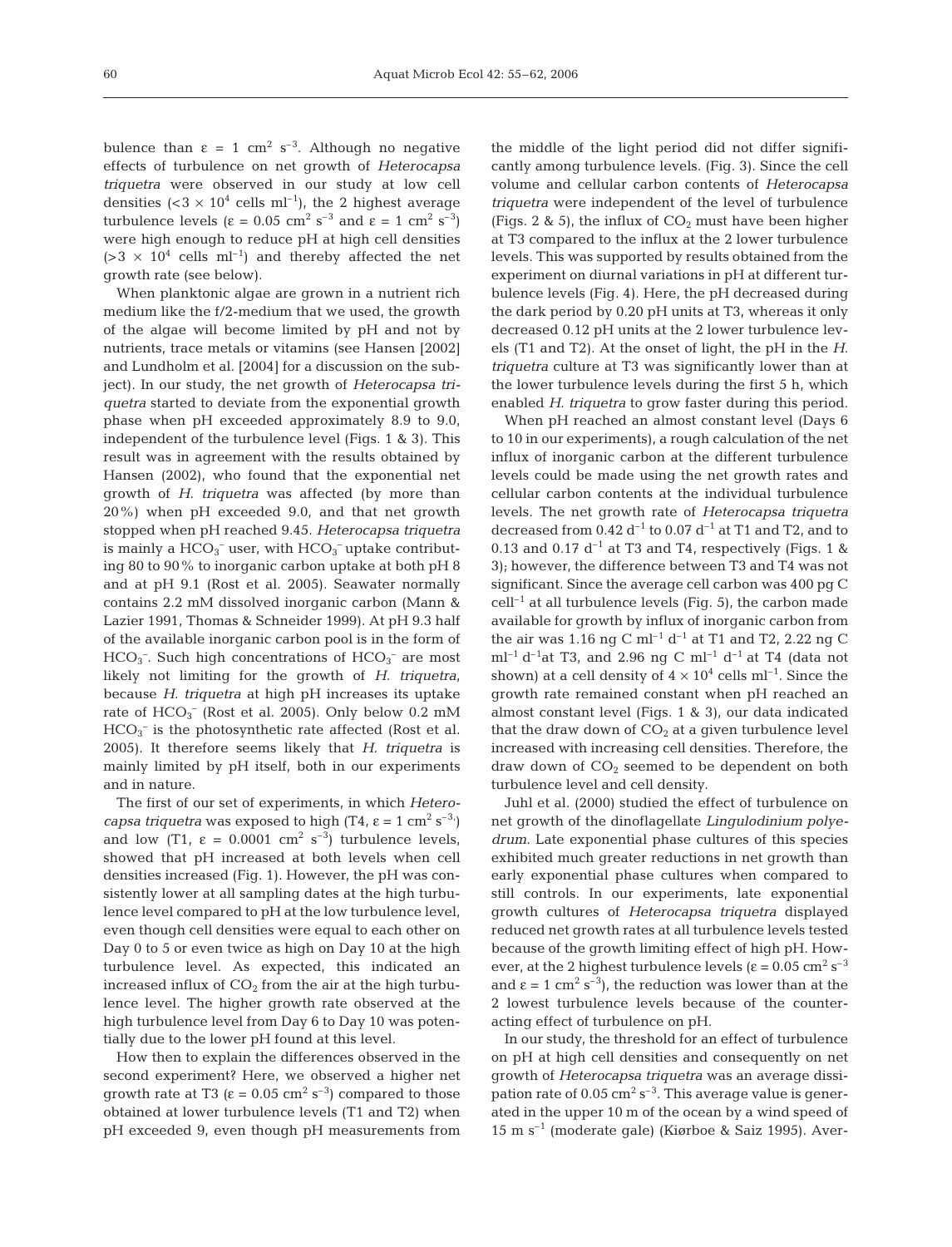bulence than  $\varepsilon = 1$  cm<sup>2</sup> s<sup>-3</sup>. Although no negative effects of turbulence on net growth of *Heterocapsa triquetra* were observed in our study at low cell densities  $( $3 \times 10^4$  cells ml<sup>-1</sup>), the 2 highest average$ turbulence levels (ε = 0.05 cm<sup>2</sup> s<sup>-3</sup> and ε = 1 cm<sup>2</sup> s<sup>-3</sup>) were high enough to reduce pH at high cell densities  $(>3 \times 10^4 \text{ cells } \text{ml}^{-1})$  and thereby affected the net growth rate (see below).

When planktonic algae are grown in a nutrient rich medium like the f/2-medium that we used, the growth of the algae will become limited by pH and not by nutrients, trace metals or vitamins (see Hansen [2002] and Lundholm et al. [2004] for a discussion on the subject). In our study, the net growth of *Heterocapsa triquetra* started to deviate from the exponential growth phase when pH exceeded approximately 8.9 to 9.0, independent of the turbulence level (Figs. 1 & 3). This result was in agreement with the results obtained by Hansen (2002), who found that the exponential net growth of *H. triquetra* was affected (by more than 20%) when pH exceeded 9.0, and that net growth stopped when pH reached 9.45. *Heterocapsa triquetra* is mainly a  $\mathrm{HCO_3}^-$  user, with  $\mathrm{HCO_3}^-$  uptake contributing 80 to 90% to inorganic carbon uptake at both pH 8 and at pH 9.1 (Rost et al. 2005). Seawater normally contains 2.2 mM dissolved inorganic carbon (Mann & Lazier 1991, Thomas & Schneider 1999). At pH 9.3 half of the available inorganic carbon pool is in the form of  $HCO<sub>3</sub>$ . Such high concentrations of  $HCO<sub>3</sub>$  are most likely not limiting for the growth of *H. triquetra*, because *H. triquetra* at high pH increases its uptake rate of  $\text{HCO}_3^-$  (Rost et al. 2005). Only below 0.2 mM HCO<sub>3</sub><sup>-</sup> is the photosynthetic rate affected (Rost et al. 2005). It therefore seems likely that *H. triquetra* is mainly limited by pH itself, both in our experiments and in nature.

The first of our set of experiments, in which *Heterocapsa triquetra* was exposed to high  $(T4, \varepsilon = 1 \text{ cm}^2 \text{ s}^{-3})$ and low (T1,  $\varepsilon = 0.0001$  cm<sup>2</sup> s<sup>-3</sup>) turbulence levels, showed that pH increased at both levels when cell densities increased (Fig. 1). However, the pH was consistently lower at all sampling dates at the high turbulence level compared to pH at the low turbulence level, even though cell densities were equal to each other on Day 0 to 5 or even twice as high on Day 10 at the high turbulence level. As expected, this indicated an increased influx of  $CO<sub>2</sub>$  from the air at the high turbulence level. The higher growth rate observed at the high turbulence level from Day 6 to Day 10 was potentially due to the lower pH found at this level.

How then to explain the differences observed in the second experiment? Here, we observed a higher net growth rate at T3 ( $\varepsilon = 0.05$  cm<sup>2</sup> s<sup>-3</sup>) compared to those obtained at lower turbulence levels (T1 and T2) when pH exceeded 9, even though pH measurements from

the middle of the light period did not differ significantly among turbulence levels. (Fig. 3). Since the cell volume and cellular carbon contents of *Heterocapsa triquetra* were independent of the level of turbulence (Figs. 2 & 5), the influx of  $CO<sub>2</sub>$  must have been higher at T3 compared to the influx at the 2 lower turbulence levels. This was supported by results obtained from the experiment on diurnal variations in pH at different turbulence levels (Fig. 4). Here, the pH decreased during the dark period by 0.20 pH units at T3, whereas it only decreased 0.12 pH units at the 2 lower turbulence levels (T1 and T2). At the onset of light, the pH in the *H. triquetra* culture at T3 was significantly lower than at the lower turbulence levels during the first 5 h, which enabled *H. triquetra* to grow faster during this period.

When pH reached an almost constant level (Days 6 to 10 in our experiments), a rough calculation of the net influx of inorganic carbon at the different turbulence levels could be made using the net growth rates and cellular carbon contents at the individual turbulence levels. The net growth rate of *Heterocapsa triquetra* decreased from  $0.42 d^{-1}$  to  $0.07 d^{-1}$  at T1 and T2, and to 0.13 and 0.17  $d^{-1}$  at T3 and T4, respectively (Figs. 1 & 3); however, the difference between T3 and T4 was not significant. Since the average cell carbon was 400 pg C  $cell^{-1}$  at all turbulence levels (Fig. 5), the carbon made available for growth by influx of inorganic carbon from the air was 1.16 ng C ml<sup>-1</sup> d<sup>-1</sup> at T1 and T2, 2.22 ng C  $ml^{-1} d^{-1}$ at T3, and 2.96 ng C ml<sup>-1</sup> d<sup>-1</sup> at T4 (data not shown) at a cell density of  $4 \times 10^4$  cells ml<sup>-1</sup>. Since the growth rate remained constant when pH reached an almost constant level (Figs. 1 & 3), our data indicated that the draw down of  $CO<sub>2</sub>$  at a given turbulence level increased with increasing cell densities. Therefore, the draw down of  $CO<sub>2</sub>$  seemed to be dependent on both turbulence level and cell density.

Juhl et al. (2000) studied the effect of turbulence on net growth of the dinoflagellate *Lingulodinium polyedrum*. Late exponential phase cultures of this species exhibited much greater reductions in net growth than early exponential phase cultures when compared to still controls. In our experiments, late exponential growth cultures of *Heterocapsa triquetra* displayed reduced net growth rates at all turbulence levels tested because of the growth limiting effect of high pH. However, at the 2 highest turbulence levels ( $\varepsilon$  = 0.05 cm<sup>2</sup> s<sup>-3</sup> and  $\varepsilon = 1$  cm<sup>2</sup> s<sup>-3</sup>), the reduction was lower than at the 2 lowest turbulence levels because of the counteracting effect of turbulence on pH.

In our study, the threshold for an effect of turbulence on pH at high cell densities and consequently on net growth of *Heterocapsa triquetra* was an average dissipation rate of  $0.05 \text{ cm}^2 \text{ s}^{-3}$ . This average value is generated in the upper 10 m of the ocean by a wind speed of 15 m s–1 (moderate gale) (Kiørboe & Saiz 1995). Aver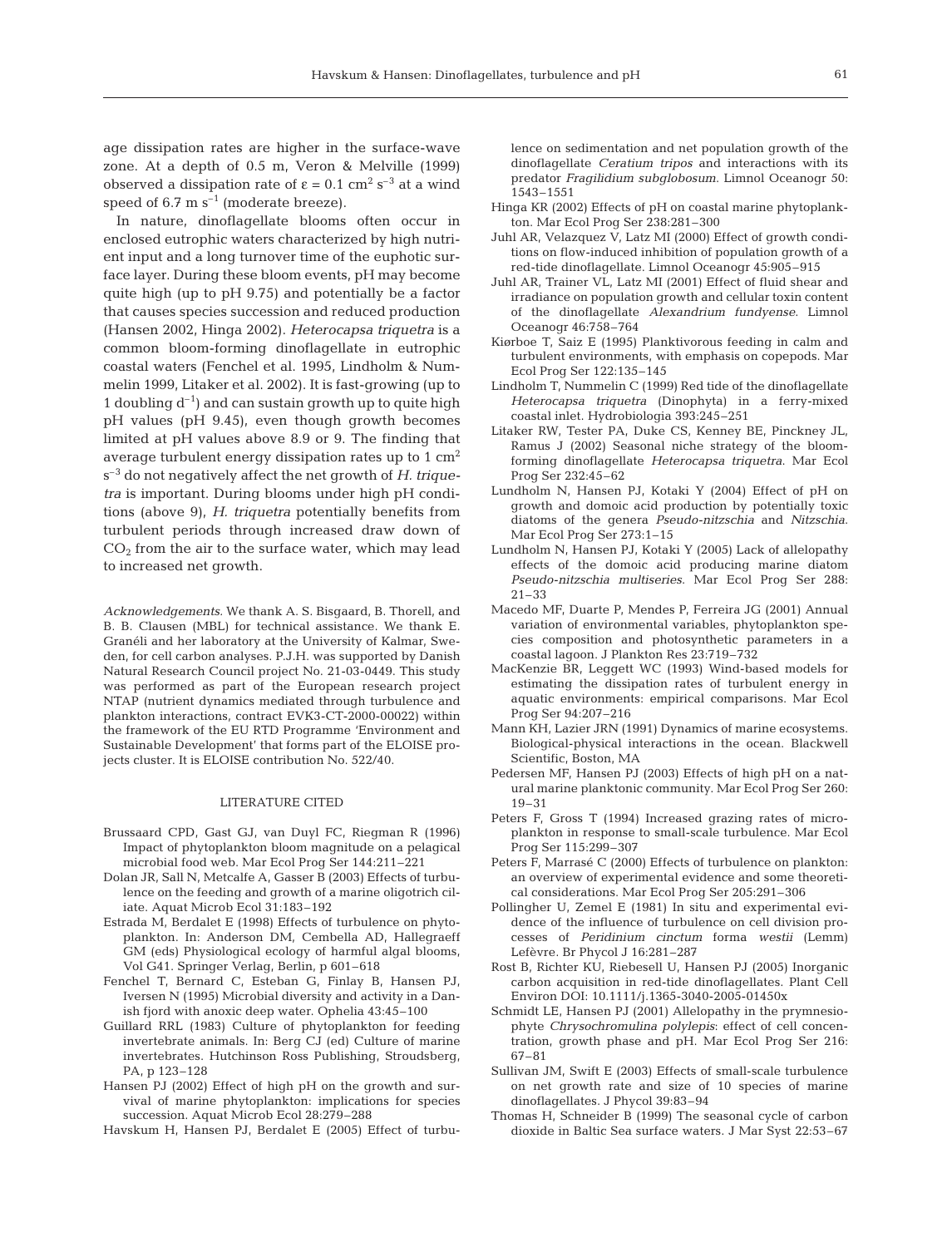age dissipation rates are higher in the surface-wave zone. At a depth of 0.5 m, Veron & Melville (1999) observed a dissipation rate of  $\varepsilon = 0.1$  cm<sup>2</sup> s<sup>-3</sup> at a wind speed of 6.7 m  $s^{-1}$  (moderate breeze).

In nature, dinoflagellate blooms often occur in enclosed eutrophic waters characterized by high nutrient input and a long turnover time of the euphotic surface layer. During these bloom events, pH may become quite high (up to pH 9.75) and potentially be a factor that causes species succession and reduced production (Hansen 2002, Hinga 2002). *Heterocapsa triquetra* is a common bloom-forming dinoflagellate in eutrophic coastal waters (Fenchel et al. 1995, Lindholm & Nummelin 1999, Litaker et al. 2002). It is fast-growing (up to 1 doubling  $d^{-1}$  and can sustain growth up to quite high pH values (pH 9.45), even though growth becomes limited at pH values above 8.9 or 9. The finding that average turbulent energy dissipation rates up to  $1 \text{ cm}^2$ s–3 do not negatively affect the net growth of *H. triquetra* is important. During blooms under high pH conditions (above 9), *H. triquetra* potentially benefits from turbulent periods through increased draw down of  $CO<sub>2</sub>$  from the air to the surface water, which may lead to increased net growth.

*Acknowledgements.* We thank A. S. Bisgaard, B. Thorell, and B. B. Clausen (MBL) for technical assistance. We thank E. Granéli and her laboratory at the University of Kalmar, Sweden, for cell carbon analyses. P.J.H. was supported by Danish Natural Research Council project No. 21-03-0449. This study was performed as part of the European research project NTAP (nutrient dynamics mediated through turbulence and plankton interactions, contract EVK3-CT-2000-00022) within the framework of the EU RTD Programme 'Environment and Sustainable Development' that forms part of the ELOISE projects cluster. It is ELOISE contribution No. 522/40.

#### LITERATURE CITED

- Brussaard CPD, Gast GJ, van Duyl FC, Riegman R (1996) Impact of phytoplankton bloom magnitude on a pelagical microbial food web. Mar Ecol Prog Ser 144:211–221
- Dolan JR, Sall N, Metcalfe A, Gasser B (2003) Effects of turbulence on the feeding and growth of a marine oligotrich ciliate. Aquat Microb Ecol 31:183–192
- Estrada M, Berdalet E (1998) Effects of turbulence on phytoplankton. In: Anderson DM, Cembella AD, Hallegraeff GM (eds) Physiological ecology of harmful algal blooms, Vol G41. Springer Verlag, Berlin, p 601–618
- Fenchel T, Bernard C, Esteban G, Finlay B, Hansen PJ, Iversen N (1995) Microbial diversity and activity in a Danish fjord with anoxic deep water. Ophelia 43:45–100
- Guillard RRL (1983) Culture of phytoplankton for feeding invertebrate animals. In: Berg CJ (ed) Culture of marine invertebrates. Hutchinson Ross Publishing, Stroudsberg, PA, p 123–128
- Hansen PJ (2002) Effect of high pH on the growth and survival of marine phytoplankton: implications for species succession. Aquat Microb Ecol 28:279–288

Havskum H, Hansen PJ, Berdalet E (2005) Effect of turbu-

lence on sedimentation and net population growth of the dinoflagellate *Ceratium tripos* and interactions with its predator *Fragilidium subglobosum*. Limnol Oceanogr 50: 1543–1551

- Hinga KR (2002) Effects of pH on coastal marine phytoplankton. Mar Ecol Prog Ser 238:281–300
- Juhl AR, Velazquez V, Latz MI (2000) Effect of growth conditions on flow-induced inhibition of population growth of a red-tide dinoflagellate. Limnol Oceanogr 45:905–915
- Juhl AR, Trainer VL, Latz MI (2001) Effect of fluid shear and irradiance on population growth and cellular toxin content of the dinoflagellate *Alexandrium fundyense*. Limnol Oceanogr 46:758–764
- Kiørboe T, Saiz E (1995) Planktivorous feeding in calm and turbulent environments, with emphasis on copepods. Mar Ecol Prog Ser 122:135–145
- Lindholm T, Nummelin C (1999) Red tide of the dinoflagellate *Heterocapsa triquetra* (Dinophyta) in a ferry-mixed coastal inlet. Hydrobiologia 393:245–251
- Litaker RW, Tester PA, Duke CS, Kenney BE, Pinckney JL, Ramus J (2002) Seasonal niche strategy of the bloomforming dinoflagellate *Heterocapsa triquetra*. Mar Ecol Prog Ser 232:45–62
- Lundholm N, Hansen PJ, Kotaki Y (2004) Effect of pH on growth and domoic acid production by potentially toxic diatoms of the genera *Pseudo-nitzschia* and *Nitzschia*. Mar Ecol Prog Ser 273:1–15
- Lundholm N, Hansen PJ, Kotaki Y (2005) Lack of allelopathy effects of the domoic acid producing marine diatom *Pseudo-nitzschia multiseries*. Mar Ecol Prog Ser 288: 21–33
- Macedo MF, Duarte P, Mendes P, Ferreira JG (2001) Annual variation of environmental variables, phytoplankton species composition and photosynthetic parameters in a coastal lagoon. J Plankton Res 23:719–732
- MacKenzie BR, Leggett WC (1993) Wind-based models for estimating the dissipation rates of turbulent energy in aquatic environments: empirical comparisons. Mar Ecol Prog Ser 94:207–216
- Mann KH, Lazier JRN (1991) Dynamics of marine ecosystems. Biological-physical interactions in the ocean. Blackwell Scientific, Boston, MA
- Pedersen MF, Hansen PJ (2003) Effects of high pH on a natural marine planktonic community. Mar Ecol Prog Ser 260: 19–31
- Peters F, Gross T (1994) Increased grazing rates of microplankton in response to small-scale turbulence. Mar Ecol Prog Ser 115:299–307
- Peters F, Marrasé C (2000) Effects of turbulence on plankton: an overview of experimental evidence and some theoretical considerations. Mar Ecol Prog Ser 205:291–306
- Pollingher U, Zemel E (1981) In situ and experimental evidence of the influence of turbulence on cell division processes of *Peridinium cinctum* forma *westii* (Lemm) Lefèvre. Br Phycol J 16:281–287
- Rost B, Richter KU, Riebesell U, Hansen PJ (2005) Inorganic carbon acquisition in red-tide dinoflagellates. Plant Cell Environ DOI: 10.1111/j.1365-3040-2005-01450x
- Schmidt LE, Hansen PJ (2001) Allelopathy in the prymnesiophyte *Chrysochromulina polylepis*: effect of cell concentration, growth phase and pH. Mar Ecol Prog Ser 216: 67–81
- Sullivan JM, Swift E (2003) Effects of small-scale turbulence on net growth rate and size of 10 species of marine dinoflagellates. J Phycol 39:83–94
- Thomas H, Schneider B (1999) The seasonal cycle of carbon dioxide in Baltic Sea surface waters. J Mar Syst 22:53–67